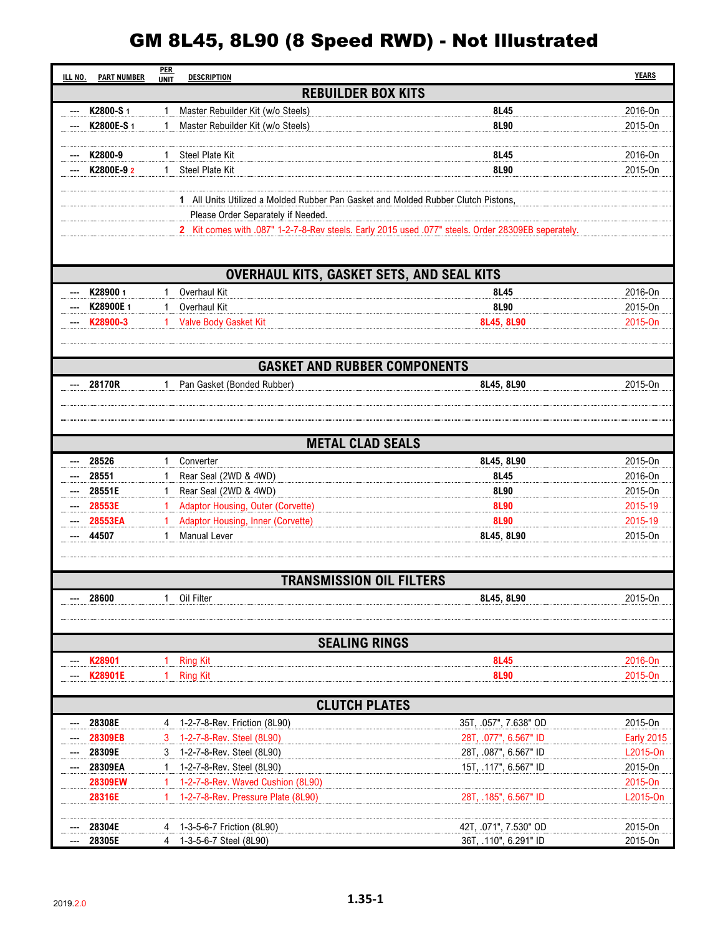## GM 8L45, 8L90 (8 Speed RWD) - Not Illustrated

| ILL NO. | <b>PART NUMBER</b>                                                                                                                       | <b>PER</b><br><b>UNIT</b> | <b>DESCRIPTION</b>                                                      |                                     | <b>YEARS</b>        |  |  |  |  |  |
|---------|------------------------------------------------------------------------------------------------------------------------------------------|---------------------------|-------------------------------------------------------------------------|-------------------------------------|---------------------|--|--|--|--|--|
|         | <b>REBUILDER BOX KITS</b>                                                                                                                |                           |                                                                         |                                     |                     |  |  |  |  |  |
|         | K2800-S1                                                                                                                                 | 1                         | Master Rebuilder Kit (w/o Steels)                                       | 8L45                                | 2016-On             |  |  |  |  |  |
|         | K2800E-S 1                                                                                                                               |                           | Master Rebuilder Kit (w/o Steels)                                       | 8L90                                | 2015-On             |  |  |  |  |  |
|         |                                                                                                                                          |                           |                                                                         |                                     |                     |  |  |  |  |  |
|         | K2800-9                                                                                                                                  |                           | <b>Steel Plate Kit</b>                                                  | 8L45                                | 2016-On             |  |  |  |  |  |
|         | K2800E-9 2                                                                                                                               |                           | <b>Steel Plate Kit</b>                                                  | 8L90                                | 2015-On             |  |  |  |  |  |
|         |                                                                                                                                          |                           |                                                                         |                                     |                     |  |  |  |  |  |
|         | 1 All Units Utilized a Molded Rubber Pan Gasket and Molded Rubber Clutch Pistons,                                                        |                           |                                                                         |                                     |                     |  |  |  |  |  |
|         | Please Order Separately if Needed.<br>2 Kit comes with .087" 1-2-7-8-Rev steels. Early 2015 used .077" steels. Order 28309EB seperately. |                           |                                                                         |                                     |                     |  |  |  |  |  |
|         |                                                                                                                                          |                           |                                                                         |                                     |                     |  |  |  |  |  |
|         |                                                                                                                                          |                           |                                                                         |                                     |                     |  |  |  |  |  |
|         | OVERHAUL KITS, GASKET SETS, AND SEAL KITS                                                                                                |                           |                                                                         |                                     |                     |  |  |  |  |  |
|         | K289001                                                                                                                                  | 1                         | Overhaul Kit                                                            | 8L45                                | 2016-On             |  |  |  |  |  |
|         | K28900E 1                                                                                                                                | $\mathbf{1}$              | Overhaul Kit                                                            | 8L90                                | 2015-On             |  |  |  |  |  |
|         | K28900-3                                                                                                                                 | $\mathbf{1}$              | <b>Valve Body Gasket Kit</b>                                            | 8L45, 8L90                          | 2015-On             |  |  |  |  |  |
|         |                                                                                                                                          |                           |                                                                         |                                     |                     |  |  |  |  |  |
|         |                                                                                                                                          |                           |                                                                         |                                     |                     |  |  |  |  |  |
|         |                                                                                                                                          |                           |                                                                         | <b>GASKET AND RUBBER COMPONENTS</b> |                     |  |  |  |  |  |
|         | 28170R                                                                                                                                   | 1                         | Pan Gasket (Bonded Rubber)                                              | 8L45, 8L90                          | 2015-On             |  |  |  |  |  |
|         |                                                                                                                                          |                           |                                                                         |                                     |                     |  |  |  |  |  |
|         |                                                                                                                                          |                           |                                                                         |                                     |                     |  |  |  |  |  |
|         |                                                                                                                                          |                           |                                                                         |                                     |                     |  |  |  |  |  |
|         |                                                                                                                                          |                           |                                                                         | <b>METAL CLAD SEALS</b>             |                     |  |  |  |  |  |
|         | 28526                                                                                                                                    |                           | Converter                                                               | 8L45, 8L90                          | 2015-On             |  |  |  |  |  |
|         | 28551                                                                                                                                    | 1                         | Rear Seal (2WD & 4WD)                                                   | 8L45                                | 2016-On             |  |  |  |  |  |
| ---     | 28551E                                                                                                                                   | 1                         | Rear Seal (2WD & 4WD)                                                   | 8L90                                | 2015-On             |  |  |  |  |  |
|         | 28553E<br>28553EA                                                                                                                        |                           | Adaptor Housing, Outer (Corvette)<br>Adaptor Housing, Inner (Corvette)  | 8L90<br>8L90                        | 2015-19<br>2015-19  |  |  |  |  |  |
|         | 44507                                                                                                                                    |                           | <b>Manual Lever</b>                                                     | 8L45, 8L90                          | 2015-On             |  |  |  |  |  |
|         |                                                                                                                                          |                           |                                                                         |                                     |                     |  |  |  |  |  |
|         |                                                                                                                                          |                           |                                                                         |                                     |                     |  |  |  |  |  |
|         | <b>TRANSMISSION OIL FILTERS</b>                                                                                                          |                           |                                                                         |                                     |                     |  |  |  |  |  |
|         | 28600                                                                                                                                    | $\mathbf{1}$              | Oil Filter                                                              | 8L45, 8L90                          | 2015-On             |  |  |  |  |  |
|         |                                                                                                                                          |                           |                                                                         |                                     |                     |  |  |  |  |  |
|         |                                                                                                                                          |                           |                                                                         |                                     |                     |  |  |  |  |  |
|         |                                                                                                                                          |                           |                                                                         | <b>SEALING RINGS</b>                |                     |  |  |  |  |  |
|         | K28901                                                                                                                                   |                           | <b>Ring Kit</b>                                                         | 8L45                                | 2016-On             |  |  |  |  |  |
|         | K28901E                                                                                                                                  | 1.                        | <b>Ring Kit</b>                                                         | <b>8L90</b>                         | 2015-On             |  |  |  |  |  |
|         |                                                                                                                                          |                           |                                                                         |                                     |                     |  |  |  |  |  |
|         | <b>CLUTCH PLATES</b>                                                                                                                     |                           |                                                                         |                                     |                     |  |  |  |  |  |
|         | 28308E                                                                                                                                   | 4                         | 1-2-7-8-Rev. Friction (8L90)                                            | 35T, .057", 7.638" OD               | 2015-On             |  |  |  |  |  |
|         | 28309EB                                                                                                                                  | 3                         | 1-2-7-8-Rev. Steel (8L90)                                               | 28T, .077", 6.567" ID               | <b>Early 2015</b>   |  |  |  |  |  |
|         | 28309E                                                                                                                                   | 3                         | 1-2-7-8-Rev. Steel (8L90)                                               | 28T, .087", 6.567" ID               | L2015-On            |  |  |  |  |  |
|         | 28309EA                                                                                                                                  | $\mathbf{1}$              | 1-2-7-8-Rev. Steel (8L90)                                               | 15T, .117", 6.567" ID               | 2015-On             |  |  |  |  |  |
|         | 28309EW<br>28316E                                                                                                                        | 1                         | 1-2-7-8-Rev. Waved Cushion (8L90)<br>1-2-7-8-Rev. Pressure Plate (8L90) | 28T, .185", 6.567" ID               | 2015-On<br>L2015-On |  |  |  |  |  |
|         |                                                                                                                                          |                           |                                                                         |                                     |                     |  |  |  |  |  |
|         | 28304E                                                                                                                                   |                           | 1-3-5-6-7 Friction (8L90)                                               | 42T, .071", 7.530" OD               | 2015-On             |  |  |  |  |  |
|         | 28305E                                                                                                                                   |                           | 1-3-5-6-7 Steel (8L90)                                                  | 36T, .110", 6.291" ID               | 2015-On             |  |  |  |  |  |